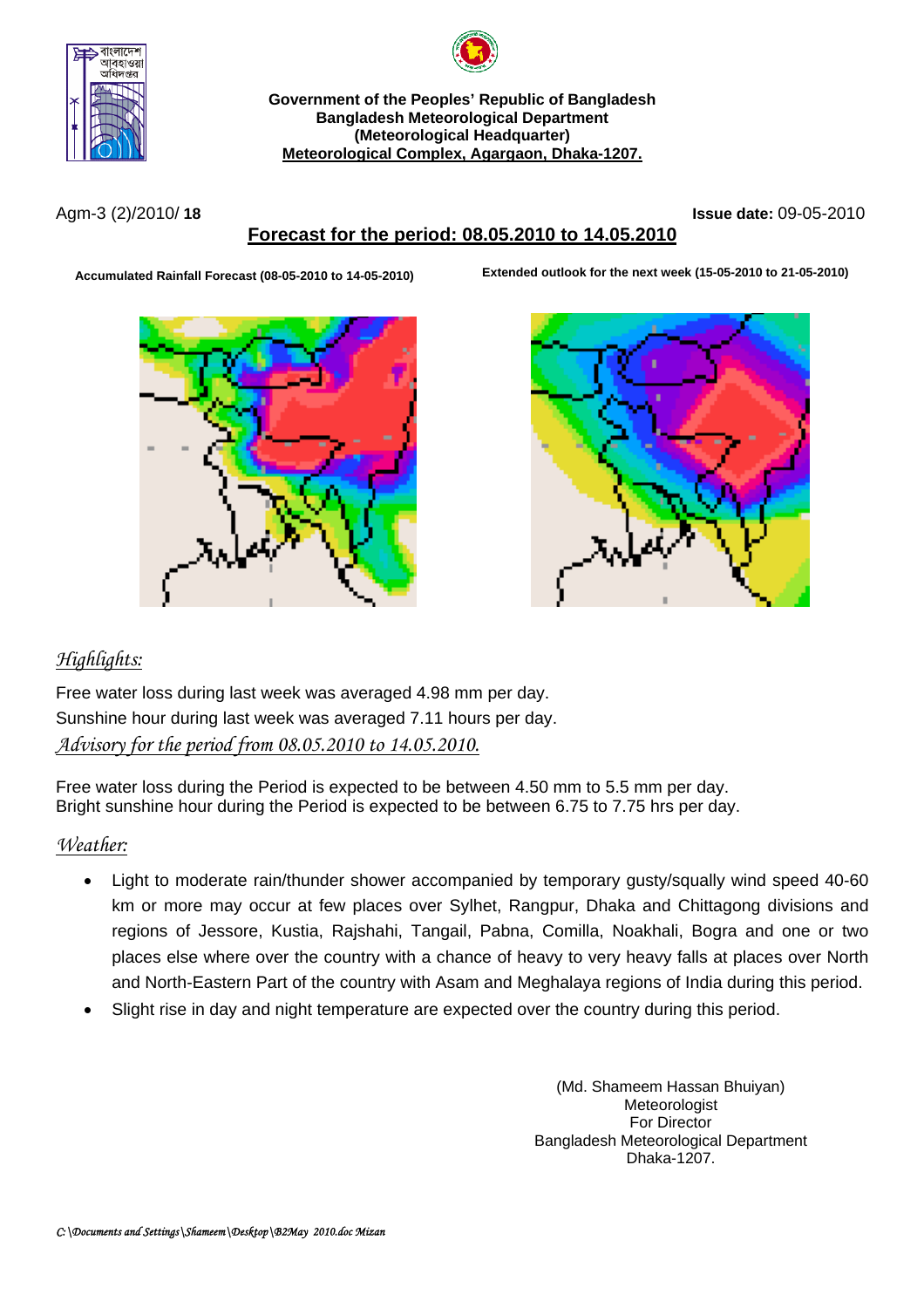



**Government of the Peoples' Republic of Bangladesh Bangladesh Meteorological Department (Meteorological Headquarter) Meteorological Complex, Agargaon, Dhaka-1207.**

Agm-3 (2)/2010/ **18 Issue date:** 09-05-2010

# **Forecast for the period: 08.05.2010 to 14.05.2010**

**A Extended outlook for the next week (15-05-2010 to 21-05-2010) ccumulated Rainfall Forecast (08-05-2010 to 14-05-2010)**





# *Highlights:*

Free water loss during last week was averaged 4.98 mm per day. Sunshine hour during last week was averaged 7.11 hours per day. *Advisory for the period from 08.05.2010 to 14.05.2010.*

Free water loss during the Period is expected to be between 4.50 mm to 5.5 mm per day. Bright sunshine hour during the Period is expected to be between 6.75 to 7.75 hrs per day.

## *Weather:*

- Light to moderate rain/thunder shower accompanied by temporary gusty/squally wind speed 40-60 km or more may occur at few places over Sylhet, Rangpur, Dhaka and Chittagong divisions and regions of Jessore, Kustia, Rajshahi, Tangail, Pabna, Comilla, Noakhali, Bogra and one or two places else where over the country with a chance of heavy to very heavy falls at places over North and North-Eastern Part of the country with Asam and Meghalaya regions of India during this period.
- Slight rise in day and night temperature are expected over the country during this period.

(Md. Shameem Hassan Bhuiyan) Meteorologist For Director Bangladesh Meteorological Department Dhaka-1207.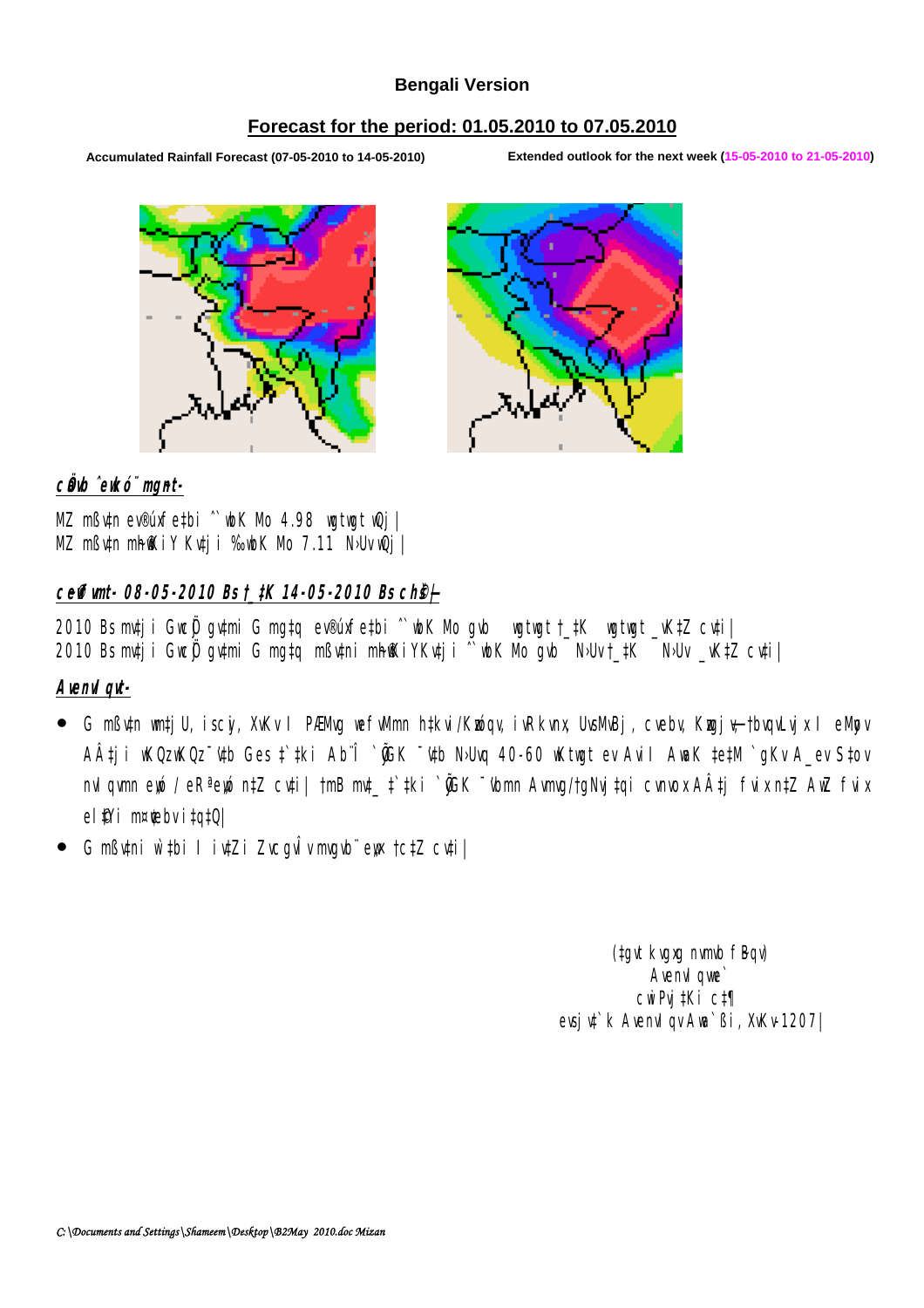### **Bengali Version**

### **Forecast for the period: 01.05.2010 to 07.05.2010**

**Accumulated Rainfall Forecast (07-05-2010 to 14-05-2010) Extended outlook for the next week (15-05-2010 to 21-05-2010)**





c**Ö**ub ̂eukó¨ mgnt-

MZ mßv‡n ev®úxfe‡bi ˆ`wbK Mo 4.98 wgtwgt wQj| MZ mßuh mhiKiY Kutji %ubK Nb 7.11 Nbu wQj

### **c~e©vfvmt- 08-05-2010 Bs †\_‡K 14-05-2010 Bs ch©š—|**

2010 Bs mtj i Gueğ gutmi G mg‡q ev®úxfe‡bi ^`ubK Mb gub wgtwgt †\_‡K wgtwgt \_vK‡Z cu‡i| 2010 Bs mtj i Gweÿ gytmi G mg‡q mßytni mh@KiYKvtj i ^`wbK Mo gvb NoUv†\_#K NoUv \_vK‡Z cv‡i|

**AvenvIqvt-**

- G mߢn wrtjU, iscý, XvKv I PÆMg wefwmn h‡kvi/Kxóqv, ivRkvnx, UvsMBj, cvebv, Kxyjy–†bvqvLyjx I eMyov AÂtji WOz WOz ~ "Who Ges t` #ki Ab^Î ` "GK ~ "Who No Unq 40-60 wKtwgt ev Avil AwaK ‡e#M ` gKv A\_ev S‡ov nvIgvm eyó / eRª eyó n‡Z cv‡i| †mB mt\_ ‡`#ki `@K <sup>-</sup>'vbmn Avmg/†gNvj‡qi cvnvox A‡j fvix n‡Z AwZ fvix el<sup>9</sup>Yi m¤**tebvita‡Q**
- G mßvtni w`tbi I ivtZi ZvcavÎv marbëens tctZ cvtil

(tayt kvaxa nvmb fBqv) Avenvil que` cwiPvj‡Ki c‡¶ evsju<sup>t</sup>k AvenuIqv Aun<sup>s</sup> Bi, XvKv-1207|